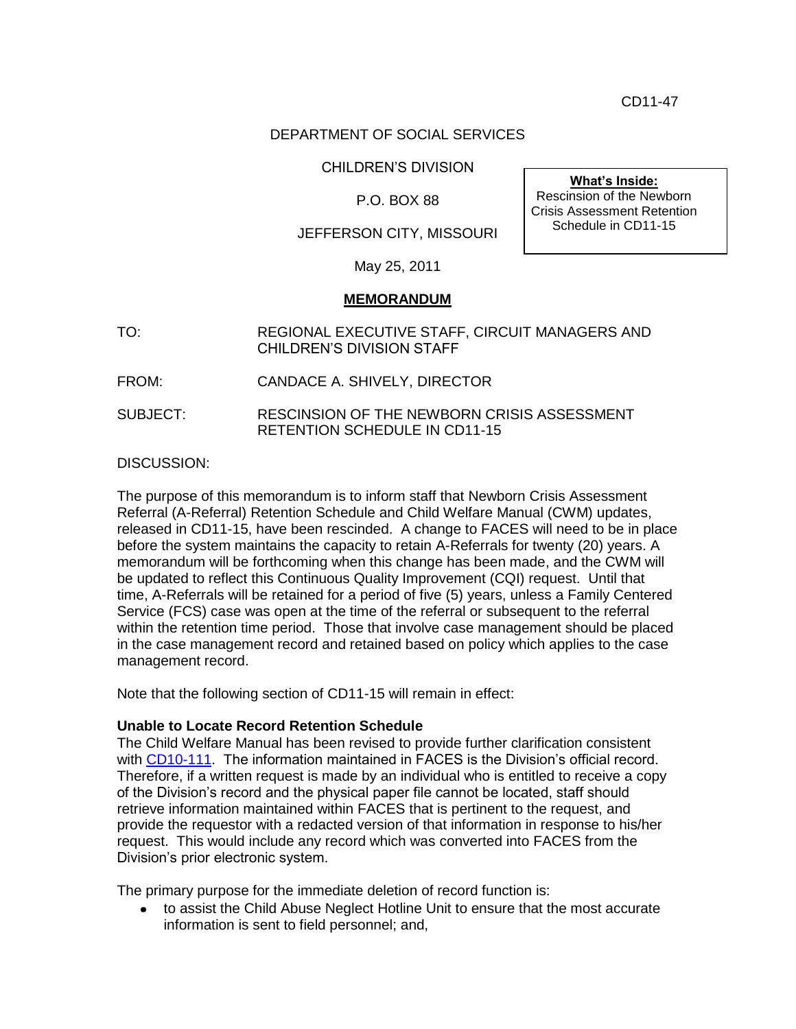CD11-47

## DEPARTMENT OF SOCIAL SERVICES

CHILDREN'S DIVISION

P.O. BOX 88

JEFFERSON CITY, MISSOURI

**What's Inside:** Rescinsion of the Newborn Crisis Assessment Retention Schedule in CD11-15

May 25, 2011

## **MEMORANDUM**

TO: REGIONAL EXECUTIVE STAFF, CIRCUIT MANAGERS AND CHILDREN'S DIVISION STAFF

FROM: CANDACE A. SHIVELY, DIRECTOR

SUBJECT: RESCINSION OF THE NEWBORN CRISIS ASSESSMENT RETENTION SCHEDULE IN CD11-15

DISCUSSION:

The purpose of this memorandum is to inform staff that Newborn Crisis Assessment Referral (A-Referral) Retention Schedule and Child Welfare Manual (CWM) updates, released in CD11-15, have been rescinded. A change to FACES will need to be in place before the system maintains the capacity to retain A-Referrals for twenty (20) years. A memorandum will be forthcoming when this change has been made, and the CWM will be updated to reflect this Continuous Quality Improvement (CQI) request. Until that time, A-Referrals will be retained for a period of five (5) years, unless a Family Centered Service (FCS) case was open at the time of the referral or subsequent to the referral within the retention time period. Those that involve case management should be placed in the case management record and retained based on policy which applies to the case management record.

Note that the following section of CD11-15 will remain in effect:

## **Unable to Locate Record Retention Schedule**

The Child Welfare Manual has been revised to provide further clarification consistent with [CD10-111.](http://www.dss.mo.gov/cd/info/memos/2010/cd10-111.pdf) The information maintained in FACES is the Division's official record. Therefore, if a written request is made by an individual who is entitled to receive a copy of the Division's record and the physical paper file cannot be located, staff should retrieve information maintained within FACES that is pertinent to the request, and provide the requestor with a redacted version of that information in response to his/her request. This would include any record which was converted into FACES from the Division's prior electronic system.

The primary purpose for the immediate deletion of record function is:

to assist the Child Abuse Neglect Hotline Unit to ensure that the most accurate information is sent to field personnel; and,